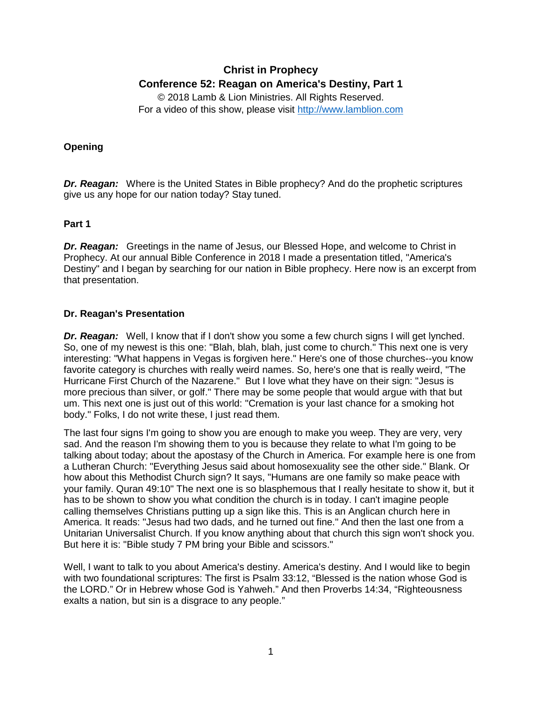# **Christ in Prophecy Conference 52: Reagan on America's Destiny, Part 1**

© 2018 Lamb & Lion Ministries. All Rights Reserved. For a video of this show, please visit [http://www.lamblion.com](http://www.lamblion.com/)

### **Opening**

*Dr. Reagan:* Where is the United States in Bible prophecy? And do the prophetic scriptures give us any hope for our nation today? Stay tuned.

#### **Part 1**

**Dr. Reagan:** Greetings in the name of Jesus, our Blessed Hope, and welcome to Christ in Prophecy. At our annual Bible Conference in 2018 I made a presentation titled, "America's Destiny" and I began by searching for our nation in Bible prophecy. Here now is an excerpt from that presentation.

#### **Dr. Reagan's Presentation**

*Dr. Reagan:* Well, I know that if I don't show you some a few church signs I will get lynched. So, one of my newest is this one: "Blah, blah, blah, just come to church." This next one is very interesting: "What happens in Vegas is forgiven here." Here's one of those churches--you know favorite category is churches with really weird names. So, here's one that is really weird, "The Hurricane First Church of the Nazarene." But I love what they have on their sign: "Jesus is more precious than silver, or golf." There may be some people that would argue with that but um. This next one is just out of this world: "Cremation is your last chance for a smoking hot body." Folks, I do not write these, I just read them.

The last four signs I'm going to show you are enough to make you weep. They are very, very sad. And the reason I'm showing them to you is because they relate to what I'm going to be talking about today; about the apostasy of the Church in America. For example here is one from a Lutheran Church: "Everything Jesus said about homosexuality see the other side." Blank. Or how about this Methodist Church sign? It says, "Humans are one family so make peace with your family. Quran 49:10" The next one is so blasphemous that I really hesitate to show it, but it has to be shown to show you what condition the church is in today. I can't imagine people calling themselves Christians putting up a sign like this. This is an Anglican church here in America. It reads: "Jesus had two dads, and he turned out fine." And then the last one from a Unitarian Universalist Church. If you know anything about that church this sign won't shock you. But here it is: "Bible study 7 PM bring your Bible and scissors."

Well, I want to talk to you about America's destiny. America's destiny. And I would like to begin with two foundational scriptures: The first is Psalm 33:12, "Blessed is the nation whose God is the LORD." Or in Hebrew whose God is Yahweh." And then Proverbs 14:34, "Righteousness exalts a nation, but sin is a disgrace to any people."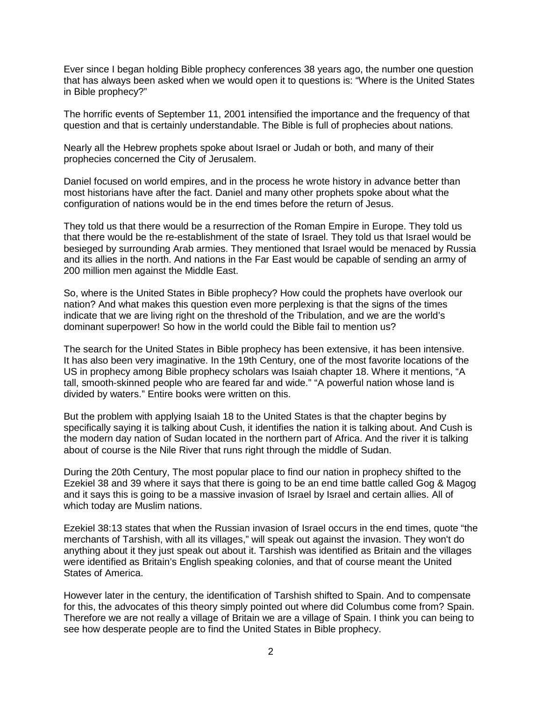Ever since I began holding Bible prophecy conferences 38 years ago, the number one question that has always been asked when we would open it to questions is: "Where is the United States in Bible prophecy?"

The horrific events of September 11, 2001 intensified the importance and the frequency of that question and that is certainly understandable. The Bible is full of prophecies about nations.

Nearly all the Hebrew prophets spoke about Israel or Judah or both, and many of their prophecies concerned the City of Jerusalem.

Daniel focused on world empires, and in the process he wrote history in advance better than most historians have after the fact. Daniel and many other prophets spoke about what the configuration of nations would be in the end times before the return of Jesus.

They told us that there would be a resurrection of the Roman Empire in Europe. They told us that there would be the re-establishment of the state of Israel. They told us that Israel would be besieged by surrounding Arab armies. They mentioned that Israel would be menaced by Russia and its allies in the north. And nations in the Far East would be capable of sending an army of 200 million men against the Middle East.

So, where is the United States in Bible prophecy? How could the prophets have overlook our nation? And what makes this question even more perplexing is that the signs of the times indicate that we are living right on the threshold of the Tribulation, and we are the world's dominant superpower! So how in the world could the Bible fail to mention us?

The search for the United States in Bible prophecy has been extensive, it has been intensive. It has also been very imaginative. In the 19th Century, one of the most favorite locations of the US in prophecy among Bible prophecy scholars was Isaiah chapter 18. Where it mentions, "A tall, smooth-skinned people who are feared far and wide." "A powerful nation whose land is divided by waters." Entire books were written on this.

But the problem with applying Isaiah 18 to the United States is that the chapter begins by specifically saying it is talking about Cush, it identifies the nation it is talking about. And Cush is the modern day nation of Sudan located in the northern part of Africa. And the river it is talking about of course is the Nile River that runs right through the middle of Sudan.

During the 20th Century, The most popular place to find our nation in prophecy shifted to the Ezekiel 38 and 39 where it says that there is going to be an end time battle called Gog & Magog and it says this is going to be a massive invasion of Israel by Israel and certain allies. All of which today are Muslim nations.

Ezekiel 38:13 states that when the Russian invasion of Israel occurs in the end times, quote "the merchants of Tarshish, with all its villages," will speak out against the invasion. They won't do anything about it they just speak out about it. Tarshish was identified as Britain and the villages were identified as Britain's English speaking colonies, and that of course meant the United States of America.

However later in the century, the identification of Tarshish shifted to Spain. And to compensate for this, the advocates of this theory simply pointed out where did Columbus come from? Spain. Therefore we are not really a village of Britain we are a village of Spain. I think you can being to see how desperate people are to find the United States in Bible prophecy.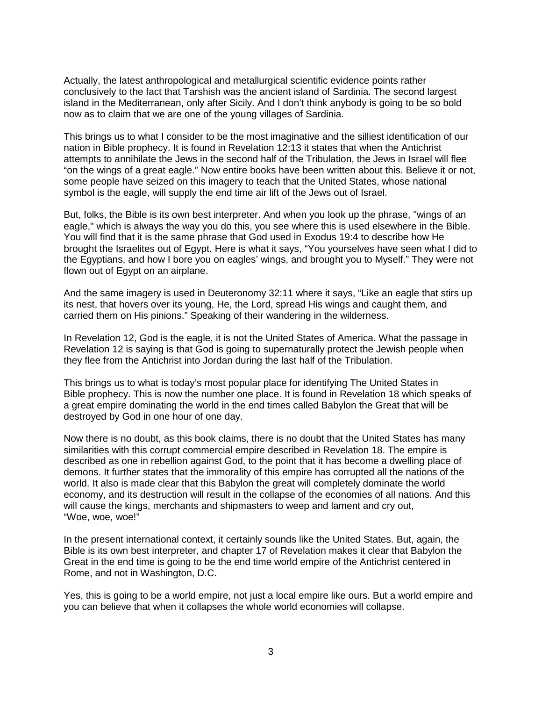Actually, the latest anthropological and metallurgical scientific evidence points rather conclusively to the fact that Tarshish was the ancient island of Sardinia. The second largest island in the Mediterranean, only after Sicily. And I don't think anybody is going to be so bold now as to claim that we are one of the young villages of Sardinia.

This brings us to what I consider to be the most imaginative and the silliest identification of our nation in Bible prophecy. It is found in Revelation 12:13 it states that when the Antichrist attempts to annihilate the Jews in the second half of the Tribulation, the Jews in Israel will flee "on the wings of a great eagle." Now entire books have been written about this. Believe it or not, some people have seized on this imagery to teach that the United States, whose national symbol is the eagle, will supply the end time air lift of the Jews out of Israel.

But, folks, the Bible is its own best interpreter. And when you look up the phrase, "wings of an eagle," which is always the way you do this, you see where this is used elsewhere in the Bible. You will find that it is the same phrase that God used in Exodus 19:4 to describe how He brought the Israelites out of Egypt. Here is what it says, "You yourselves have seen what I did to the Egyptians, and how I bore you on eagles' wings, and brought you to Myself." They were not flown out of Egypt on an airplane.

And the same imagery is used in Deuteronomy 32:11 where it says, "Like an eagle that stirs up its nest, that hovers over its young, He, the Lord, spread His wings and caught them, and carried them on His pinions." Speaking of their wandering in the wilderness.

In Revelation 12, God is the eagle, it is not the United States of America. What the passage in Revelation 12 is saying is that God is going to supernaturally protect the Jewish people when they flee from the Antichrist into Jordan during the last half of the Tribulation.

This brings us to what is today's most popular place for identifying The United States in Bible prophecy. This is now the number one place. It is found in Revelation 18 which speaks of a great empire dominating the world in the end times called Babylon the Great that will be destroyed by God in one hour of one day.

Now there is no doubt, as this book claims, there is no doubt that the United States has many similarities with this corrupt commercial empire described in Revelation 18. The empire is described as one in rebellion against God, to the point that it has become a dwelling place of demons. It further states that the immorality of this empire has corrupted all the nations of the world. It also is made clear that this Babylon the great will completely dominate the world economy, and its destruction will result in the collapse of the economies of all nations. And this will cause the kings, merchants and shipmasters to weep and lament and cry out, "Woe, woe, woe!"

In the present international context, it certainly sounds like the United States. But, again, the Bible is its own best interpreter, and chapter 17 of Revelation makes it clear that Babylon the Great in the end time is going to be the end time world empire of the Antichrist centered in Rome, and not in Washington, D.C.

Yes, this is going to be a world empire, not just a local empire like ours. But a world empire and you can believe that when it collapses the whole world economies will collapse.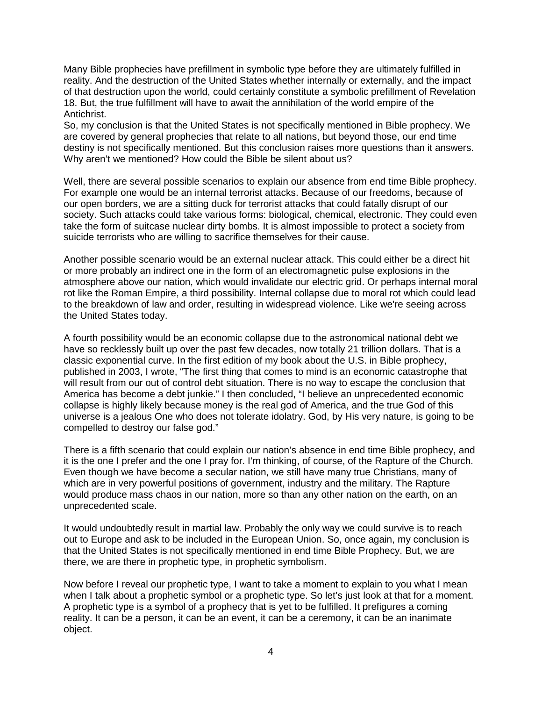Many Bible prophecies have prefillment in symbolic type before they are ultimately fulfilled in reality. And the destruction of the United States whether internally or externally, and the impact of that destruction upon the world, could certainly constitute a symbolic prefillment of Revelation 18. But, the true fulfillment will have to await the annihilation of the world empire of the Antichrist.

So, my conclusion is that the United States is not specifically mentioned in Bible prophecy. We are covered by general prophecies that relate to all nations, but beyond those, our end time destiny is not specifically mentioned. But this conclusion raises more questions than it answers. Why aren't we mentioned? How could the Bible be silent about us?

Well, there are several possible scenarios to explain our absence from end time Bible prophecy. For example one would be an internal terrorist attacks. Because of our freedoms, because of our open borders, we are a sitting duck for terrorist attacks that could fatally disrupt of our society. Such attacks could take various forms: biological, chemical, electronic. They could even take the form of suitcase nuclear dirty bombs. It is almost impossible to protect a society from suicide terrorists who are willing to sacrifice themselves for their cause.

Another possible scenario would be an external nuclear attack. This could either be a direct hit or more probably an indirect one in the form of an electromagnetic pulse explosions in the atmosphere above our nation, which would invalidate our electric grid. Or perhaps internal moral rot like the Roman Empire, a third possibility. Internal collapse due to moral rot which could lead to the breakdown of law and order, resulting in widespread violence. Like we're seeing across the United States today.

A fourth possibility would be an economic collapse due to the astronomical national debt we have so recklessly built up over the past few decades, now totally 21 trillion dollars. That is a classic exponential curve. In the first edition of my book about the U.S. in Bible prophecy, published in 2003, I wrote, "The first thing that comes to mind is an economic catastrophe that will result from our out of control debt situation. There is no way to escape the conclusion that America has become a debt junkie." I then concluded, "I believe an unprecedented economic collapse is highly likely because money is the real god of America, and the true God of this universe is a jealous One who does not tolerate idolatry. God, by His very nature, is going to be compelled to destroy our false god."

There is a fifth scenario that could explain our nation's absence in end time Bible prophecy, and it is the one I prefer and the one I pray for. I'm thinking, of course, of the Rapture of the Church. Even though we have become a secular nation, we still have many true Christians, many of which are in very powerful positions of government, industry and the military. The Rapture would produce mass chaos in our nation, more so than any other nation on the earth, on an unprecedented scale.

It would undoubtedly result in martial law. Probably the only way we could survive is to reach out to Europe and ask to be included in the European Union. So, once again, my conclusion is that the United States is not specifically mentioned in end time Bible Prophecy. But, we are there, we are there in prophetic type, in prophetic symbolism.

Now before I reveal our prophetic type, I want to take a moment to explain to you what I mean when I talk about a prophetic symbol or a prophetic type. So let's just look at that for a moment. A prophetic type is a symbol of a prophecy that is yet to be fulfilled. It prefigures a coming reality. It can be a person, it can be an event, it can be a ceremony, it can be an inanimate object.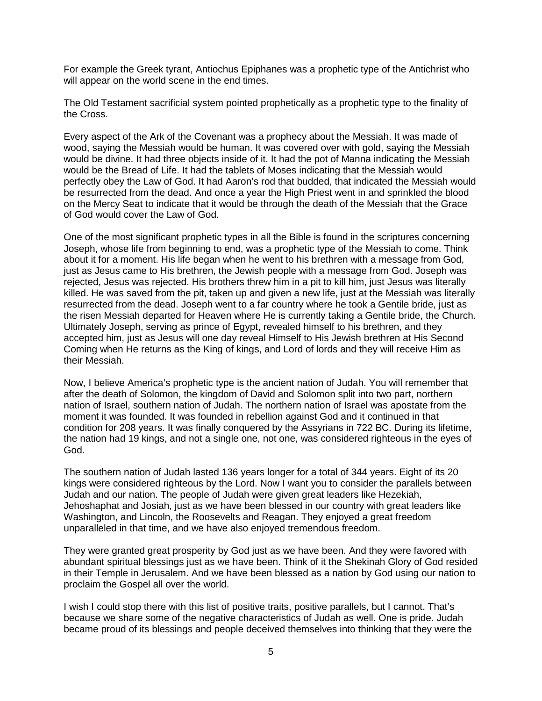For example the Greek tyrant, Antiochus Epiphanes was a prophetic type of the Antichrist who will appear on the world scene in the end times.

The Old Testament sacrificial system pointed prophetically as a prophetic type to the finality of the Cross.

Every aspect of the Ark of the Covenant was a prophecy about the Messiah. It was made of wood, saying the Messiah would be human. It was covered over with gold, saying the Messiah would be divine. It had three objects inside of it. It had the pot of Manna indicating the Messiah would be the Bread of Life. It had the tablets of Moses indicating that the Messiah would perfectly obey the Law of God. It had Aaron's rod that budded, that indicated the Messiah would be resurrected from the dead. And once a year the High Priest went in and sprinkled the blood on the Mercy Seat to indicate that it would be through the death of the Messiah that the Grace of God would cover the Law of God.

One of the most significant prophetic types in all the Bible is found in the scriptures concerning Joseph, whose life from beginning to end, was a prophetic type of the Messiah to come. Think about it for a moment. His life began when he went to his brethren with a message from God, just as Jesus came to His brethren, the Jewish people with a message from God. Joseph was rejected, Jesus was rejected. His brothers threw him in a pit to kill him, just Jesus was literally killed. He was saved from the pit, taken up and given a new life, just at the Messiah was literally resurrected from the dead. Joseph went to a far country where he took a Gentile bride, just as the risen Messiah departed for Heaven where He is currently taking a Gentile bride, the Church. Ultimately Joseph, serving as prince of Egypt, revealed himself to his brethren, and they accepted him, just as Jesus will one day reveal Himself to His Jewish brethren at His Second Coming when He returns as the King of kings, and Lord of lords and they will receive Him as their Messiah.

Now, I believe America's prophetic type is the ancient nation of Judah. You will remember that after the death of Solomon, the kingdom of David and Solomon split into two part, northern nation of Israel, southern nation of Judah. The northern nation of Israel was apostate from the moment it was founded. It was founded in rebellion against God and it continued in that condition for 208 years. It was finally conquered by the Assyrians in 722 BC. During its lifetime, the nation had 19 kings, and not a single one, not one, was considered righteous in the eyes of God.

The southern nation of Judah lasted 136 years longer for a total of 344 years. Eight of its 20 kings were considered righteous by the Lord. Now I want you to consider the parallels between Judah and our nation. The people of Judah were given great leaders like Hezekiah, Jehoshaphat and Josiah, just as we have been blessed in our country with great leaders like Washington, and Lincoln, the Roosevelts and Reagan. They enjoyed a great freedom unparalleled in that time, and we have also enjoyed tremendous freedom.

They were granted great prosperity by God just as we have been. And they were favored with abundant spiritual blessings just as we have been. Think of it the Shekinah Glory of God resided in their Temple in Jerusalem. And we have been blessed as a nation by God using our nation to proclaim the Gospel all over the world.

I wish I could stop there with this list of positive traits, positive parallels, but I cannot. That's because we share some of the negative characteristics of Judah as well. One is pride. Judah became proud of its blessings and people deceived themselves into thinking that they were the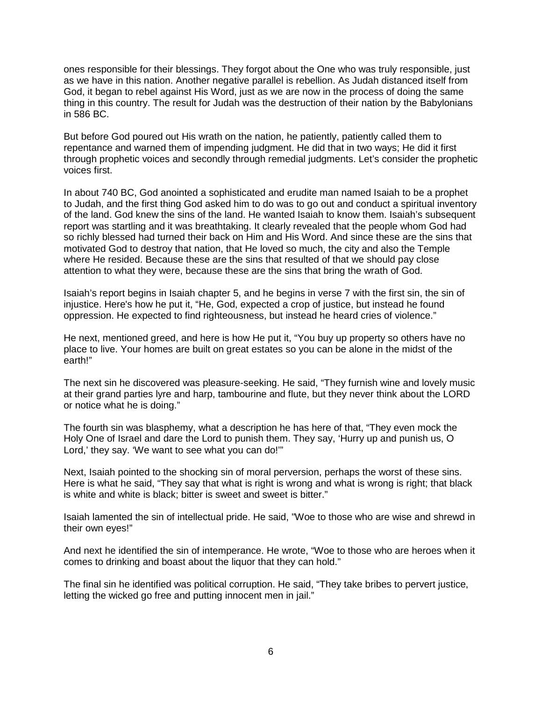ones responsible for their blessings. They forgot about the One who was truly responsible, just as we have in this nation. Another negative parallel is rebellion. As Judah distanced itself from God, it began to rebel against His Word, just as we are now in the process of doing the same thing in this country. The result for Judah was the destruction of their nation by the Babylonians in 586 BC.

But before God poured out His wrath on the nation, he patiently, patiently called them to repentance and warned them of impending judgment. He did that in two ways; He did it first through prophetic voices and secondly through remedial judgments. Let's consider the prophetic voices first.

In about 740 BC, God anointed a sophisticated and erudite man named Isaiah to be a prophet to Judah, and the first thing God asked him to do was to go out and conduct a spiritual inventory of the land. God knew the sins of the land. He wanted Isaiah to know them. Isaiah's subsequent report was startling and it was breathtaking. It clearly revealed that the people whom God had so richly blessed had turned their back on Him and His Word. And since these are the sins that motivated God to destroy that nation, that He loved so much, the city and also the Temple where He resided. Because these are the sins that resulted of that we should pay close attention to what they were, because these are the sins that bring the wrath of God.

Isaiah's report begins in Isaiah chapter 5, and he begins in verse 7 with the first sin, the sin of injustice. Here's how he put it, "He, God, expected a crop of justice, but instead he found oppression. He expected to find righteousness, but instead he heard cries of violence."

He next, mentioned greed, and here is how He put it, "You buy up property so others have no place to live. Your homes are built on great estates so you can be alone in the midst of the earth!"

The next sin he discovered was pleasure-seeking. He said, "They furnish wine and lovely music at their grand parties lyre and harp, tambourine and flute, but they never think about the LORD or notice what he is doing."

The fourth sin was blasphemy, what a description he has here of that, "They even mock the Holy One of Israel and dare the Lord to punish them. They say, 'Hurry up and punish us, O Lord,' they say. 'We want to see what you can do!'"

Next, Isaiah pointed to the shocking sin of moral perversion, perhaps the worst of these sins. Here is what he said, "They say that what is right is wrong and what is wrong is right; that black is white and white is black; bitter is sweet and sweet is bitter."

Isaiah lamented the sin of intellectual pride. He said, "Woe to those who are wise and shrewd in their own eyes!"

And next he identified the sin of intemperance. He wrote, "Woe to those who are heroes when it comes to drinking and boast about the liquor that they can hold."

The final sin he identified was political corruption. He said, "They take bribes to pervert justice, letting the wicked go free and putting innocent men in jail."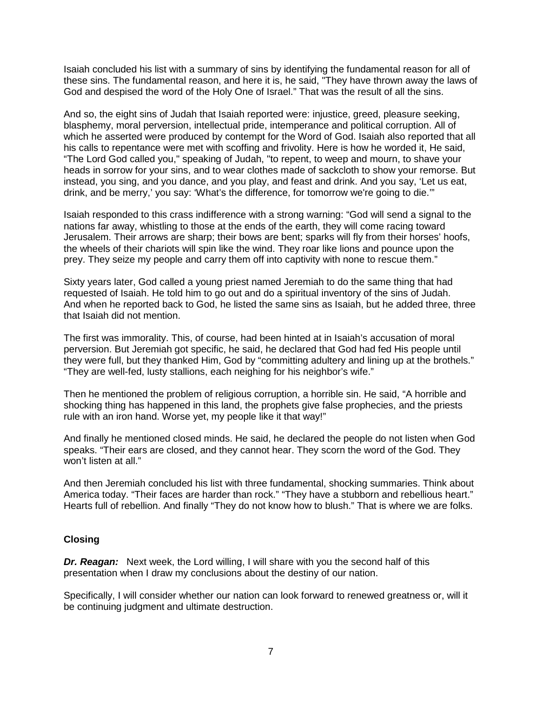Isaiah concluded his list with a summary of sins by identifying the fundamental reason for all of these sins. The fundamental reason, and here it is, he said, "They have thrown away the laws of God and despised the word of the Holy One of Israel." That was the result of all the sins.

And so, the eight sins of Judah that Isaiah reported were: injustice, greed, pleasure seeking, blasphemy, moral perversion, intellectual pride, intemperance and political corruption. All of which he asserted were produced by contempt for the Word of God. Isaiah also reported that all his calls to repentance were met with scoffing and frivolity. Here is how he worded it, He said, "The Lord God called you," speaking of Judah, "to repent, to weep and mourn, to shave your heads in sorrow for your sins, and to wear clothes made of sackcloth to show your remorse. But instead, you sing, and you dance, and you play, and feast and drink. And you say, 'Let us eat, drink, and be merry,' you say: 'What's the difference, for tomorrow we're going to die.'"

Isaiah responded to this crass indifference with a strong warning: "God will send a signal to the nations far away, whistling to those at the ends of the earth, they will come racing toward Jerusalem. Their arrows are sharp; their bows are bent; sparks will fly from their horses' hoofs, the wheels of their chariots will spin like the wind. They roar like lions and pounce upon the prey. They seize my people and carry them off into captivity with none to rescue them."

Sixty years later, God called a young priest named Jeremiah to do the same thing that had requested of Isaiah. He told him to go out and do a spiritual inventory of the sins of Judah. And when he reported back to God, he listed the same sins as Isaiah, but he added three, three that Isaiah did not mention.

The first was immorality. This, of course, had been hinted at in Isaiah's accusation of moral perversion. But Jeremiah got specific, he said, he declared that God had fed His people until they were full, but they thanked Him, God by "committing adultery and lining up at the brothels." "They are well-fed, lusty stallions, each neighing for his neighbor's wife."

Then he mentioned the problem of religious corruption, a horrible sin. He said, "A horrible and shocking thing has happened in this land, the prophets give false prophecies, and the priests rule with an iron hand. Worse yet, my people like it that way!"

And finally he mentioned closed minds. He said, he declared the people do not listen when God speaks. "Their ears are closed, and they cannot hear. They scorn the word of the God. They won't listen at all."

And then Jeremiah concluded his list with three fundamental, shocking summaries. Think about America today. "Their faces are harder than rock." "They have a stubborn and rebellious heart." Hearts full of rebellion. And finally "They do not know how to blush." That is where we are folks.

#### **Closing**

**Dr. Reagan:** Next week, the Lord willing, I will share with you the second half of this presentation when I draw my conclusions about the destiny of our nation.

Specifically, I will consider whether our nation can look forward to renewed greatness or, will it be continuing judgment and ultimate destruction.